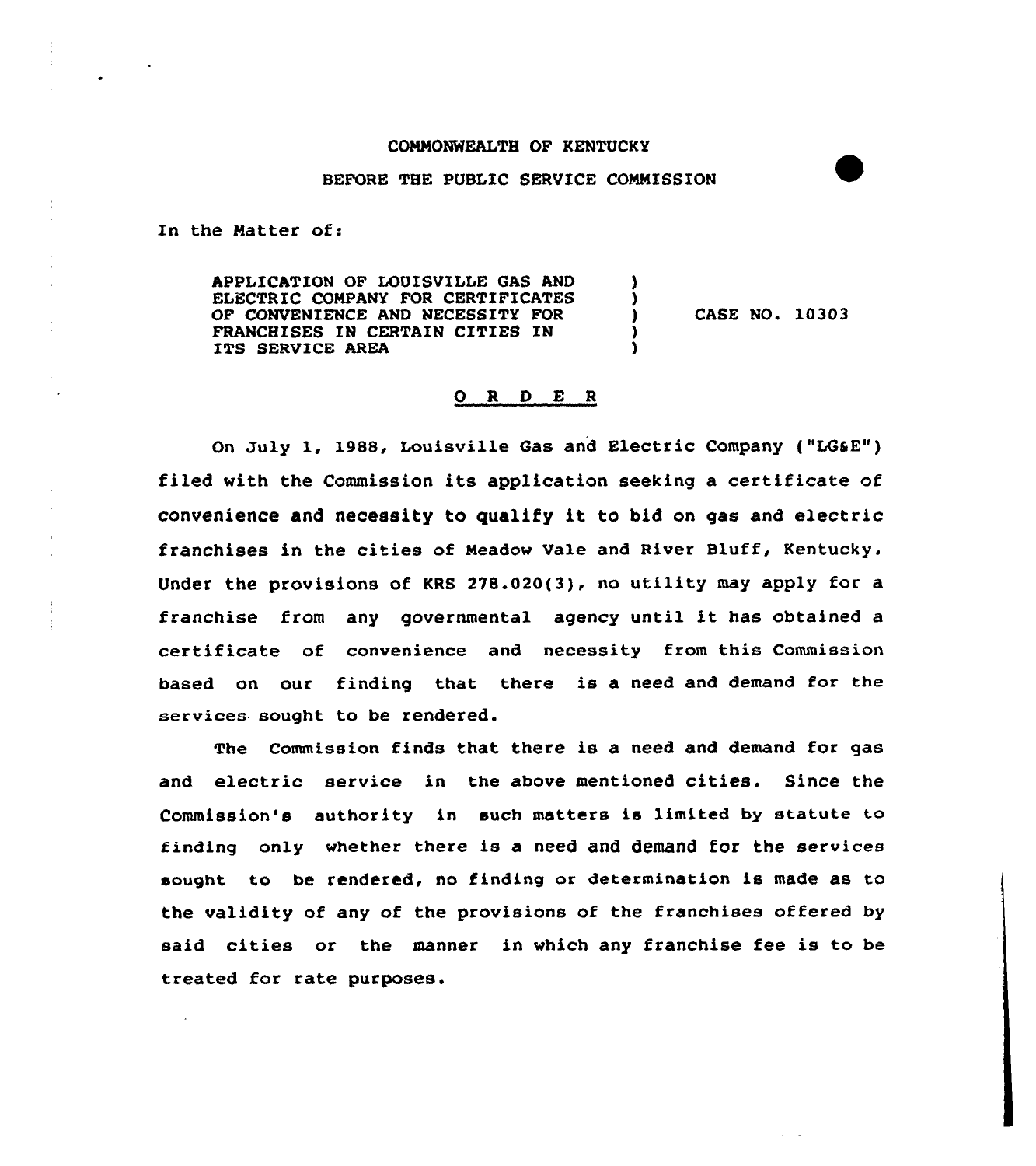## COMMONWEALTH OF KENTUCKY

## BEFORE THE PUBLIC SERVICE COMMISSION

In the Matter of:

APPLICATION OF LOUISVILLE GAS AND ELECTRIC COMPANY FOR CERTIFICATES OF CONVENIENCE AND NECESSITY FOR FRANCHISES IN CERTAIN CITIES IN ITS SERVICE AREA

CASE NO. 10303

## 0 <sup>R</sup> <sup>D</sup> E <sup>R</sup>

١.

On July 1, 1988, Louisville Gas and Electric Company ("LOSE") filed with the Commission its application seeking a certificate of convenience and necessity to qualify it to bid on gas and electric franchises in the cities of Meadow Vale and River Bluff, Kentucky. Under the provisions of KRS 278.020(3), no utility may apply for a franchise from any governmental agency until it has obtained <sup>a</sup> certificate of convenience and necessity from this Commission based on our finding that there is a need and demand for the services sought to be rendered.

The Commission finds that there is a need and demand for gas and electric service in the above mentioned cities. Since the Commission's authority in such matters is limited by statute to finding only whether there is a need and demand for the services sought to be rendered, no finding or determination is made as to the validity of any of the provisions of the franchises offered by said cities or the manner in which any franchise fee is to be treated for rate purposes.